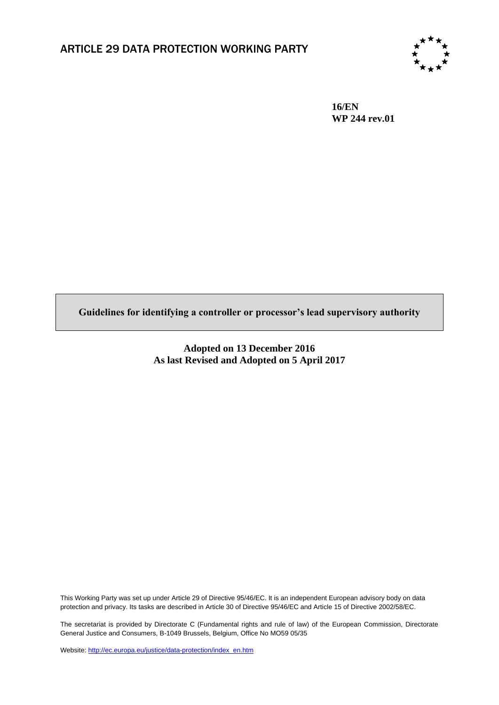

**16/EN WP 244 rev.01**

**Guidelines for identifying a controller or processor's lead supervisory authority**

**Adopted on 13 December 2016 As last Revised and Adopted on 5 April 2017**

This Working Party was set up under Article 29 of Directive 95/46/EC. It is an independent European advisory body on data protection and privacy. Its tasks are described in Article 30 of Directive 95/46/EC and Article 15 of Directive 2002/58/EC.

The secretariat is provided by Directorate C (Fundamental rights and rule of law) of the European Commission, Directorate General Justice and Consumers, B-1049 Brussels, Belgium, Office No MO59 05/35

Website[: http://ec.europa.eu/justice/data-protection/index\\_en.htm](http://ec.europa.eu/justice/data-protection/index_en.htm)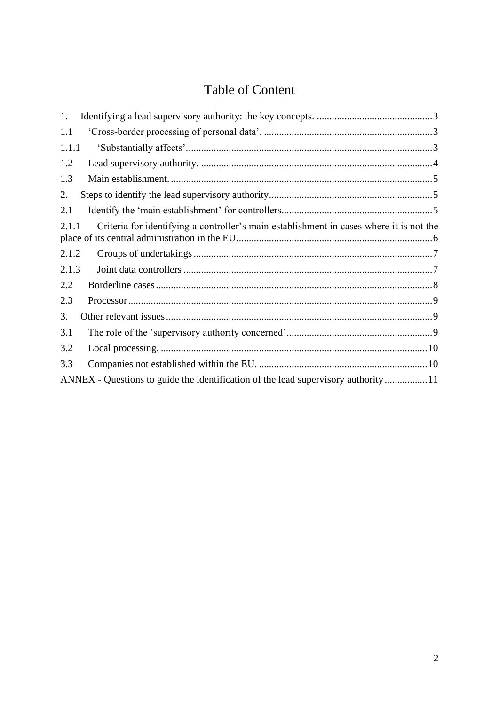# Table of Content

| 1.    |                                                                                         |
|-------|-----------------------------------------------------------------------------------------|
| 1.1   |                                                                                         |
| 1.1.1 |                                                                                         |
| 1.2   |                                                                                         |
| 1.3   |                                                                                         |
| 2.    |                                                                                         |
| 2.1   |                                                                                         |
| 2.1.1 | Criteria for identifying a controller's main establishment in cases where it is not the |
| 2.1.2 |                                                                                         |
| 2.1.3 |                                                                                         |
| 2.2   |                                                                                         |
| 2.3   |                                                                                         |
| 3.    |                                                                                         |
| 3.1   |                                                                                         |
| 3.2   |                                                                                         |
| 3.3   |                                                                                         |
|       | ANNEX - Questions to guide the identification of the lead supervisory authority11       |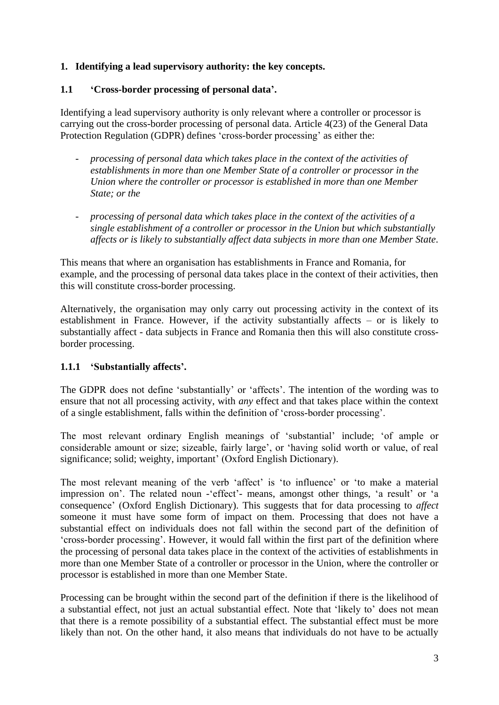# <span id="page-2-0"></span>**1. Identifying a lead supervisory authority: the key concepts.**

# <span id="page-2-1"></span>**1.1 'Cross-border processing of personal data'.**

Identifying a lead supervisory authority is only relevant where a controller or processor is carrying out the cross-border processing of personal data. Article 4(23) of the General Data Protection Regulation (GDPR) defines 'cross-border processing' as either the:

- *processing of personal data which takes place in the context of the activities of establishments in more than one Member State of a controller or processor in the Union where the controller or processor is established in more than one Member State; or the*
- *processing of personal data which takes place in the context of the activities of a single establishment of a controller or processor in the Union but which substantially affects or is likely to substantially affect data subjects in more than one Member State*.

This means that where an organisation has establishments in France and Romania, for example, and the processing of personal data takes place in the context of their activities, then this will constitute cross-border processing.

Alternatively, the organisation may only carry out processing activity in the context of its establishment in France. However, if the activity substantially affects – or is likely to substantially affect - data subjects in France and Romania then this will also constitute crossborder processing.

# <span id="page-2-2"></span>**1.1.1 'Substantially affects'.**

The GDPR does not define 'substantially' or 'affects'. The intention of the wording was to ensure that not all processing activity, with *any* effect and that takes place within the context of a single establishment, falls within the definition of 'cross-border processing'.

The most relevant ordinary English meanings of 'substantial' include; 'of ample or considerable amount or size; sizeable, fairly large', or 'having solid worth or value, of real significance; solid; weighty, important' (Oxford English Dictionary).

The most relevant meaning of the verb 'affect' is 'to influence' or 'to make a material impression on'. The related noun -'effect'- means, amongst other things, 'a result' or 'a consequence' (Oxford English Dictionary). This suggests that for data processing to *affect* someone it must have some form of impact on them. Processing that does not have a substantial effect on individuals does not fall within the second part of the definition of 'cross-border processing'. However, it would fall within the first part of the definition where the processing of personal data takes place in the context of the activities of establishments in more than one Member State of a controller or processor in the Union, where the controller or processor is established in more than one Member State.

Processing can be brought within the second part of the definition if there is the likelihood of a substantial effect, not just an actual substantial effect. Note that 'likely to' does not mean that there is a remote possibility of a substantial effect. The substantial effect must be more likely than not. On the other hand, it also means that individuals do not have to be actually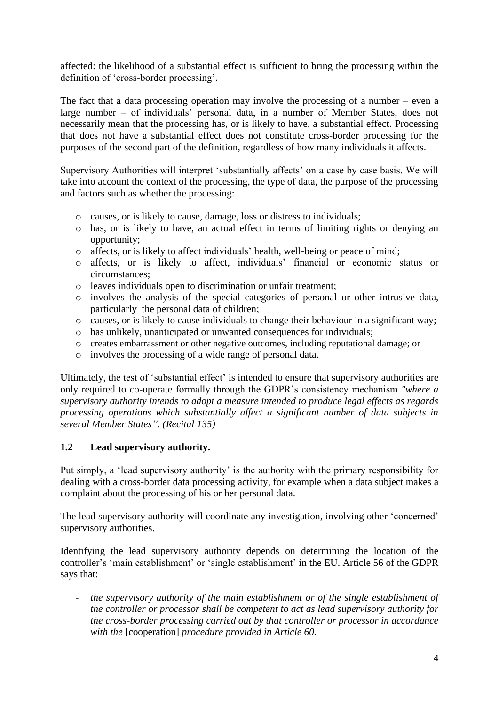affected: the likelihood of a substantial effect is sufficient to bring the processing within the definition of 'cross-border processing'.

The fact that a data processing operation may involve the processing of a number – even a large number – of individuals' personal data, in a number of Member States, does not necessarily mean that the processing has, or is likely to have, a substantial effect. Processing that does not have a substantial effect does not constitute cross-border processing for the purposes of the second part of the definition, regardless of how many individuals it affects.

Supervisory Authorities will interpret 'substantially affects' on a case by case basis. We will take into account the context of the processing, the type of data, the purpose of the processing and factors such as whether the processing:

- o causes, or is likely to cause, damage, loss or distress to individuals;
- o has, or is likely to have, an actual effect in terms of limiting rights or denying an opportunity;
- o affects, or is likely to affect individuals' health, well-being or peace of mind;
- o affects, or is likely to affect, individuals' financial or economic status or circumstances;
- o leaves individuals open to discrimination or unfair treatment;
- o involves the analysis of the special categories of personal or other intrusive data, particularly the personal data of children;
- o causes, or is likely to cause individuals to change their behaviour in a significant way;
- o has unlikely, unanticipated or unwanted consequences for individuals;
- o creates embarrassment or other negative outcomes, including reputational damage; or
- o involves the processing of a wide range of personal data.

Ultimately, the test of 'substantial effect' is intended to ensure that supervisory authorities are only required to co-operate formally through the GDPR's consistency mechanism *"where a supervisory authority intends to adopt a measure intended to produce legal effects as regards processing operations which substantially affect a significant number of data subjects in several Member States". (Recital 135)*

# <span id="page-3-0"></span>**1.2 Lead supervisory authority.**

Put simply, a 'lead supervisory authority' is the authority with the primary responsibility for dealing with a cross-border data processing activity, for example when a data subject makes a complaint about the processing of his or her personal data.

The lead supervisory authority will coordinate any investigation, involving other 'concerned' supervisory authorities.

Identifying the lead supervisory authority depends on determining the location of the controller's 'main establishment' or 'single establishment' in the EU. Article 56 of the GDPR says that:

- *the supervisory authority of the main establishment or of the single establishment of the controller or processor shall be competent to act as lead supervisory authority for the cross-border processing carried out by that controller or processor in accordance with the* [cooperation] *procedure provided in Article 60.*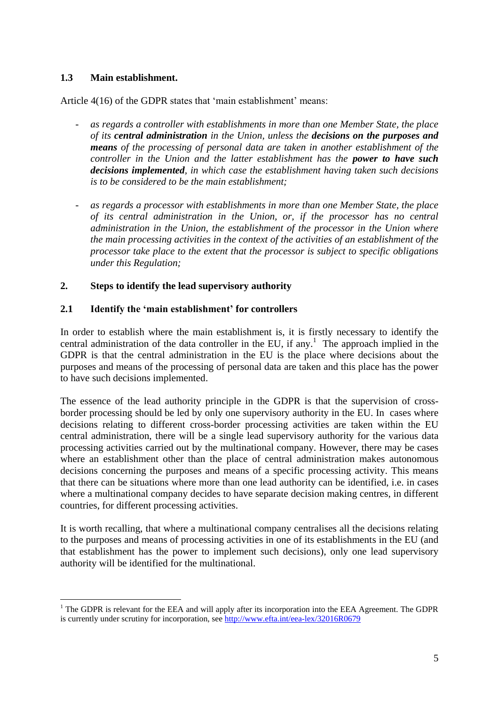# <span id="page-4-0"></span>**1.3 Main establishment.**

<u>.</u>

Article 4(16) of the GDPR states that 'main establishment' means:

- *as regards a controller with establishments in more than one Member State, the place of its central administration in the Union, unless the decisions on the purposes and means of the processing of personal data are taken in another establishment of the controller in the Union and the latter establishment has the power to have such decisions implemented, in which case the establishment having taken such decisions is to be considered to be the main establishment;*
- *as regards a processor with establishments in more than one Member State, the place of its central administration in the Union, or, if the processor has no central administration in the Union, the establishment of the processor in the Union where the main processing activities in the context of the activities of an establishment of the processor take place to the extent that the processor is subject to specific obligations under this Regulation;*

## <span id="page-4-1"></span>**2. Steps to identify the lead supervisory authority**

## <span id="page-4-2"></span>**2.1 Identify the 'main establishment' for controllers**

In order to establish where the main establishment is, it is firstly necessary to identify the central administration of the data controller in the EU, if any.<sup>1</sup> The approach implied in the GDPR is that the central administration in the EU is the place where decisions about the purposes and means of the processing of personal data are taken and this place has the power to have such decisions implemented.

The essence of the lead authority principle in the GDPR is that the supervision of crossborder processing should be led by only one supervisory authority in the EU. In cases where decisions relating to different cross-border processing activities are taken within the EU central administration, there will be a single lead supervisory authority for the various data processing activities carried out by the multinational company. However, there may be cases where an establishment other than the place of central administration makes autonomous decisions concerning the purposes and means of a specific processing activity. This means that there can be situations where more than one lead authority can be identified, i.e. in cases where a multinational company decides to have separate decision making centres, in different countries, for different processing activities.

It is worth recalling, that where a multinational company centralises all the decisions relating to the purposes and means of processing activities in one of its establishments in the EU (and that establishment has the power to implement such decisions), only one lead supervisory authority will be identified for the multinational.

 $1$  The GDPR is relevant for the EEA and will apply after its incorporation into the EEA Agreement. The GDPR is currently under scrutiny for incorporation, see<http://www.efta.int/eea-lex/32016R0679>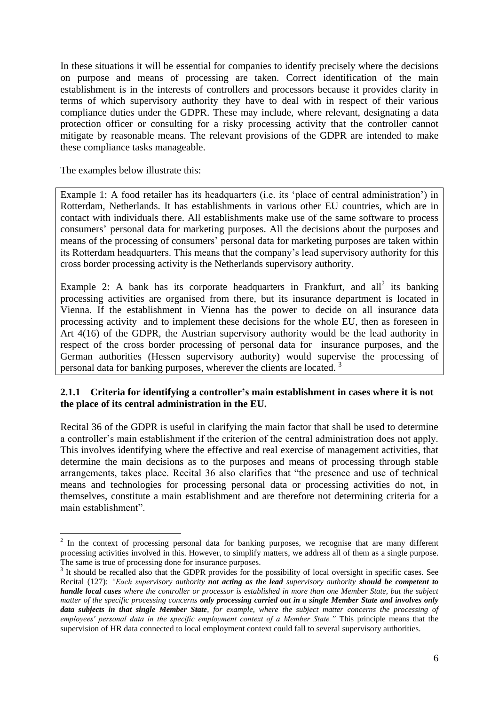In these situations it will be essential for companies to identify precisely where the decisions on purpose and means of processing are taken. Correct identification of the main establishment is in the interests of controllers and processors because it provides clarity in terms of which supervisory authority they have to deal with in respect of their various compliance duties under the GDPR. These may include, where relevant, designating a data protection officer or consulting for a risky processing activity that the controller cannot mitigate by reasonable means. The relevant provisions of the GDPR are intended to make these compliance tasks manageable.

The examples below illustrate this:

1

Example 1: A food retailer has its headquarters (i.e. its 'place of central administration') in Rotterdam, Netherlands. It has establishments in various other EU countries, which are in contact with individuals there. All establishments make use of the same software to process consumers' personal data for marketing purposes. All the decisions about the purposes and means of the processing of consumers' personal data for marketing purposes are taken within its Rotterdam headquarters. This means that the company's lead supervisory authority for this cross border processing activity is the Netherlands supervisory authority.

Example 2: A bank has its corporate headquarters in Frankfurt, and all<sup>2</sup> its banking processing activities are organised from there, but its insurance department is located in Vienna. If the establishment in Vienna has the power to decide on all insurance data processing activity and to implement these decisions for the whole EU, then as foreseen in Art 4(16) of the GDPR, the Austrian supervisory authority would be the lead authority in respect of the cross border processing of personal data for insurance purposes, and the German authorities (Hessen supervisory authority) would supervise the processing of personal data for banking purposes, wherever the clients are located. <sup>3</sup>

# <span id="page-5-0"></span>**2.1.1 Criteria for identifying a controller's main establishment in cases where it is not the place of its central administration in the EU.**

Recital 36 of the GDPR is useful in clarifying the main factor that shall be used to determine a controller's main establishment if the criterion of the central administration does not apply. This involves identifying where the effective and real exercise of management activities, that determine the main decisions as to the purposes and means of processing through stable arrangements, takes place. Recital 36 also clarifies that "the presence and use of technical means and technologies for processing personal data or processing activities do not, in themselves, constitute a main establishment and are therefore not determining criteria for a main establishment".

 $2$  In the context of processing personal data for banking purposes, we recognise that are many different processing activities involved in this. However, to simplify matters, we address all of them as a single purpose. The same is true of processing done for insurance purposes.

<sup>&</sup>lt;sup>3</sup> It should be recalled also that the GDPR provides for the possibility of local oversight in specific cases. See Recital (127): *"Each supervisory authority not acting as the lead supervisory authority should be competent to handle local cases where the controller or processor is established in more than one Member State, but the subject matter of the specific processing concerns only processing carried out in a single Member State and involves only data subjects in that single Member State, for example, where the subject matter concerns the processing of employees' personal data in the specific employment context of a Member State."* This principle means that the supervision of HR data connected to local employment context could fall to several supervisory authorities.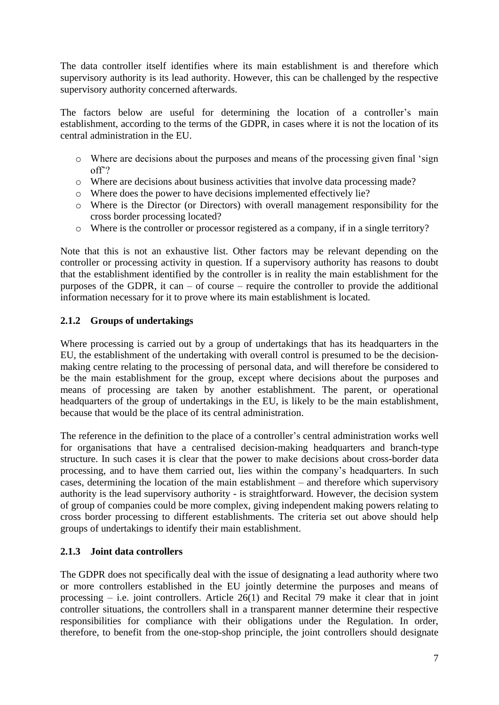The data controller itself identifies where its main establishment is and therefore which supervisory authority is its lead authority. However, this can be challenged by the respective supervisory authority concerned afterwards.

The factors below are useful for determining the location of a controller's main establishment, according to the terms of the GDPR, in cases where it is not the location of its central administration in the EU.

- o Where are decisions about the purposes and means of the processing given final 'sign off'?
- o Where are decisions about business activities that involve data processing made?
- o Where does the power to have decisions implemented effectively lie?
- o Where is the Director (or Directors) with overall management responsibility for the cross border processing located?
- o Where is the controller or processor registered as a company, if in a single territory?

Note that this is not an exhaustive list. Other factors may be relevant depending on the controller or processing activity in question. If a supervisory authority has reasons to doubt that the establishment identified by the controller is in reality the main establishment for the purposes of the GDPR, it can – of course – require the controller to provide the additional information necessary for it to prove where its main establishment is located.

# <span id="page-6-0"></span>**2.1.2 Groups of undertakings**

Where processing is carried out by a group of undertakings that has its headquarters in the EU, the establishment of the undertaking with overall control is presumed to be the decisionmaking centre relating to the processing of personal data, and will therefore be considered to be the main establishment for the group, except where decisions about the purposes and means of processing are taken by another establishment. The parent, or operational headquarters of the group of undertakings in the EU, is likely to be the main establishment, because that would be the place of its central administration.

The reference in the definition to the place of a controller's central administration works well for organisations that have a centralised decision-making headquarters and branch-type structure. In such cases it is clear that the power to make decisions about cross-border data processing, and to have them carried out, lies within the company's headquarters. In such cases, determining the location of the main establishment – and therefore which supervisory authority is the lead supervisory authority - is straightforward. However, the decision system of group of companies could be more complex, giving independent making powers relating to cross border processing to different establishments. The criteria set out above should help groups of undertakings to identify their main establishment.

# <span id="page-6-1"></span>**2.1.3 Joint data controllers**

The GDPR does not specifically deal with the issue of designating a lead authority where two or more controllers established in the EU jointly determine the purposes and means of processing  $-$  i.e. joint controllers. Article 26(1) and Recital 79 make it clear that in joint controller situations, the controllers shall in a transparent manner determine their respective responsibilities for compliance with their obligations under the Regulation. In order, therefore, to benefit from the one-stop-shop principle, the joint controllers should designate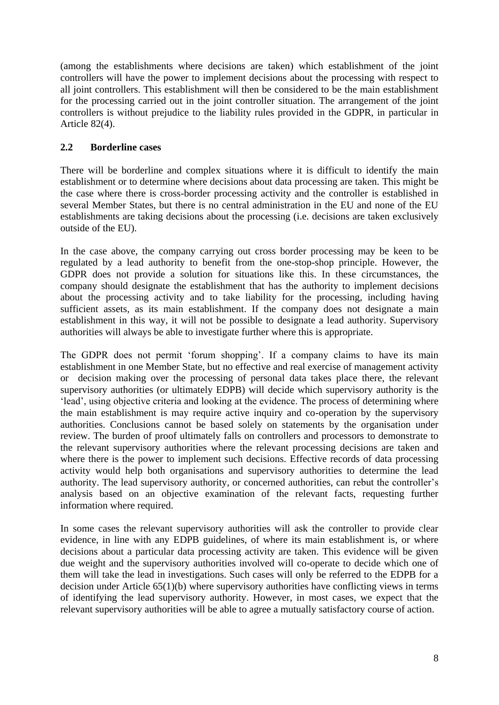(among the establishments where decisions are taken) which establishment of the joint controllers will have the power to implement decisions about the processing with respect to all joint controllers. This establishment will then be considered to be the main establishment for the processing carried out in the joint controller situation. The arrangement of the joint controllers is without prejudice to the liability rules provided in the GDPR, in particular in Article 82(4).

# <span id="page-7-0"></span>**2.2 Borderline cases**

There will be borderline and complex situations where it is difficult to identify the main establishment or to determine where decisions about data processing are taken. This might be the case where there is cross-border processing activity and the controller is established in several Member States, but there is no central administration in the EU and none of the EU establishments are taking decisions about the processing (i.e. decisions are taken exclusively outside of the EU).

In the case above, the company carrying out cross border processing may be keen to be regulated by a lead authority to benefit from the one-stop-shop principle. However, the GDPR does not provide a solution for situations like this. In these circumstances, the company should designate the establishment that has the authority to implement decisions about the processing activity and to take liability for the processing, including having sufficient assets, as its main establishment. If the company does not designate a main establishment in this way, it will not be possible to designate a lead authority. Supervisory authorities will always be able to investigate further where this is appropriate.

The GDPR does not permit 'forum shopping'. If a company claims to have its main establishment in one Member State, but no effective and real exercise of management activity or decision making over the processing of personal data takes place there, the relevant supervisory authorities (or ultimately EDPB) will decide which supervisory authority is the 'lead', using objective criteria and looking at the evidence. The process of determining where the main establishment is may require active inquiry and co-operation by the supervisory authorities. Conclusions cannot be based solely on statements by the organisation under review. The burden of proof ultimately falls on controllers and processors to demonstrate to the relevant supervisory authorities where the relevant processing decisions are taken and where there is the power to implement such decisions. Effective records of data processing activity would help both organisations and supervisory authorities to determine the lead authority. The lead supervisory authority, or concerned authorities, can rebut the controller's analysis based on an objective examination of the relevant facts, requesting further information where required.

In some cases the relevant supervisory authorities will ask the controller to provide clear evidence, in line with any EDPB guidelines, of where its main establishment is, or where decisions about a particular data processing activity are taken. This evidence will be given due weight and the supervisory authorities involved will co-operate to decide which one of them will take the lead in investigations. Such cases will only be referred to the EDPB for a decision under Article 65(1)(b) where supervisory authorities have conflicting views in terms of identifying the lead supervisory authority. However, in most cases, we expect that the relevant supervisory authorities will be able to agree a mutually satisfactory course of action.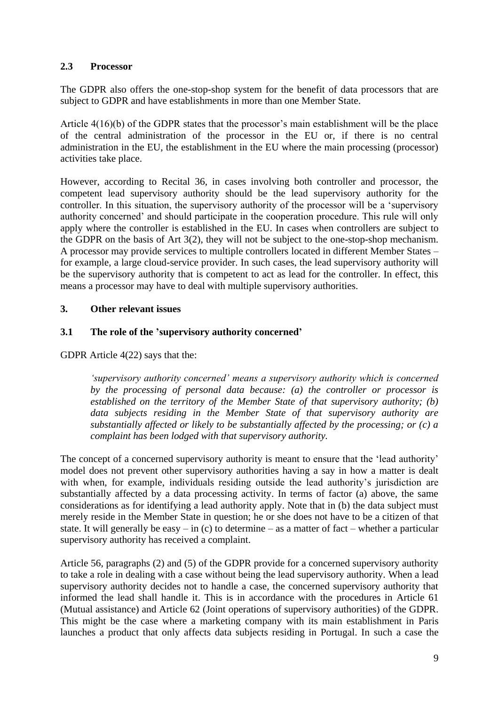# <span id="page-8-0"></span>**2.3 Processor**

The GDPR also offers the one-stop-shop system for the benefit of data processors that are subject to GDPR and have establishments in more than one Member State.

Article 4(16)(b) of the GDPR states that the processor's main establishment will be the place of the central administration of the processor in the EU or, if there is no central administration in the EU, the establishment in the EU where the main processing (processor) activities take place.

However, according to Recital 36, in cases involving both controller and processor, the competent lead supervisory authority should be the lead supervisory authority for the controller. In this situation, the supervisory authority of the processor will be a 'supervisory authority concerned' and should participate in the cooperation procedure. This rule will only apply where the controller is established in the EU. In cases when controllers are subject to the GDPR on the basis of Art 3(2), they will not be subject to the one-stop-shop mechanism. A processor may provide services to multiple controllers located in different Member States – for example, a large cloud-service provider. In such cases, the lead supervisory authority will be the supervisory authority that is competent to act as lead for the controller. In effect, this means a processor may have to deal with multiple supervisory authorities.

## <span id="page-8-1"></span>**3. Other relevant issues**

## <span id="page-8-2"></span>**3.1 The role of the 'supervisory authority concerned'**

GDPR Article 4(22) says that the:

*'supervisory authority concerned' means a supervisory authority which is concerned by the processing of personal data because: (a) the controller or processor is established on the territory of the Member State of that supervisory authority; (b) data subjects residing in the Member State of that supervisory authority are substantially affected or likely to be substantially affected by the processing; or (c) a complaint has been lodged with that supervisory authority.* 

The concept of a concerned supervisory authority is meant to ensure that the 'lead authority' model does not prevent other supervisory authorities having a say in how a matter is dealt with when, for example, individuals residing outside the lead authority's jurisdiction are substantially affected by a data processing activity. In terms of factor (a) above, the same considerations as for identifying a lead authority apply. Note that in (b) the data subject must merely reside in the Member State in question; he or she does not have to be a citizen of that state. It will generally be easy  $-$  in (c) to determine  $-$  as a matter of fact  $-$  whether a particular supervisory authority has received a complaint.

Article 56, paragraphs (2) and (5) of the GDPR provide for a concerned supervisory authority to take a role in dealing with a case without being the lead supervisory authority. When a lead supervisory authority decides not to handle a case, the concerned supervisory authority that informed the lead shall handle it. This is in accordance with the procedures in Article 61 (Mutual assistance) and Article 62 (Joint operations of supervisory authorities) of the GDPR. This might be the case where a marketing company with its main establishment in Paris launches a product that only affects data subjects residing in Portugal. In such a case the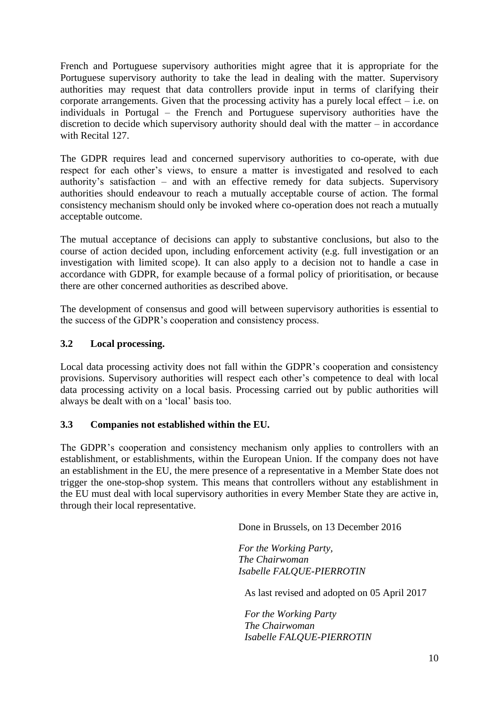French and Portuguese supervisory authorities might agree that it is appropriate for the Portuguese supervisory authority to take the lead in dealing with the matter. Supervisory authorities may request that data controllers provide input in terms of clarifying their corporate arrangements. Given that the processing activity has a purely local effect  $-$  i.e. on individuals in Portugal – the French and Portuguese supervisory authorities have the discretion to decide which supervisory authority should deal with the matter – in accordance with Recital 127.

The GDPR requires lead and concerned supervisory authorities to co-operate, with due respect for each other's views, to ensure a matter is investigated and resolved to each authority's satisfaction – and with an effective remedy for data subjects. Supervisory authorities should endeavour to reach a mutually acceptable course of action. The formal consistency mechanism should only be invoked where co-operation does not reach a mutually acceptable outcome.

The mutual acceptance of decisions can apply to substantive conclusions, but also to the course of action decided upon, including enforcement activity (e.g. full investigation or an investigation with limited scope). It can also apply to a decision not to handle a case in accordance with GDPR, for example because of a formal policy of prioritisation, or because there are other concerned authorities as described above.

The development of consensus and good will between supervisory authorities is essential to the success of the GDPR's cooperation and consistency process.

# <span id="page-9-0"></span>**3.2 Local processing.**

Local data processing activity does not fall within the GDPR's cooperation and consistency provisions. Supervisory authorities will respect each other's competence to deal with local data processing activity on a local basis. Processing carried out by public authorities will always be dealt with on a 'local' basis too.

# <span id="page-9-1"></span>**3.3 Companies not established within the EU.**

The GDPR's cooperation and consistency mechanism only applies to controllers with an establishment, or establishments, within the European Union. If the company does not have an establishment in the EU, the mere presence of a representative in a Member State does not trigger the one-stop-shop system. This means that controllers without any establishment in the EU must deal with local supervisory authorities in every Member State they are active in, through their local representative.

Done in Brussels, on 13 December 2016

*For the Working Party, The Chairwoman Isabelle FALQUE-PIERROTIN*

As last revised and adopted on 05 April 2017

*For the Working Party The Chairwoman Isabelle FALQUE-PIERROTIN*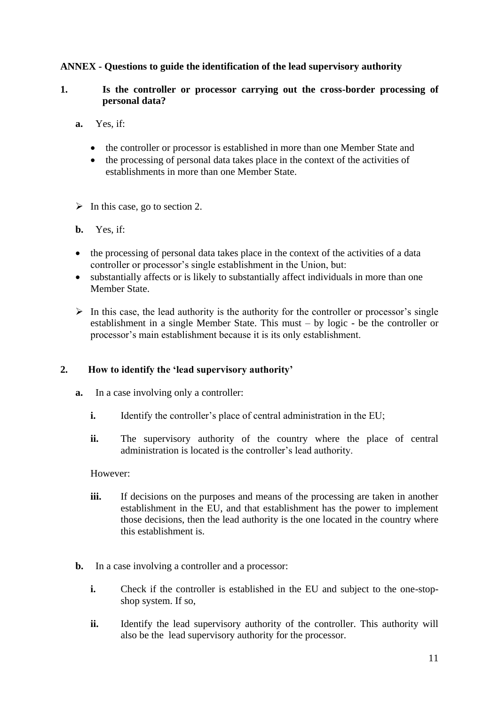# <span id="page-10-0"></span>**ANNEX - Questions to guide the identification of the lead supervisory authority**

- **1. Is the controller or processor carrying out the cross-border processing of personal data?**
	- **a.** Yes, if:
		- the controller or processor is established in more than one Member State and
		- the processing of personal data takes place in the context of the activities of establishments in more than one Member State.
	- $\triangleright$  In this case, go to section 2.
	- **b.** Yes, if:
	- the processing of personal data takes place in the context of the activities of a data controller or processor's single establishment in the Union, but:
	- substantially affects or is likely to substantially affect individuals in more than one Member State.
	- $\triangleright$  In this case, the lead authority is the authority for the controller or processor's single establishment in a single Member State. This must – by logic - be the controller or processor's main establishment because it is its only establishment.

# **2. How to identify the 'lead supervisory authority'**

- **a.** In a case involving only a controller:
	- **i.** Identify the controller's place of central administration in the EU;
	- **ii.** The supervisory authority of the country where the place of central administration is located is the controller's lead authority.

#### However:

- **iii.** If decisions on the purposes and means of the processing are taken in another establishment in the EU, and that establishment has the power to implement those decisions, then the lead authority is the one located in the country where this establishment is.
- **b.** In a case involving a controller and a processor:
	- **i.** Check if the controller is established in the EU and subject to the one-stopshop system. If so,
	- **ii.** Identify the lead supervisory authority of the controller. This authority will also be the lead supervisory authority for the processor.